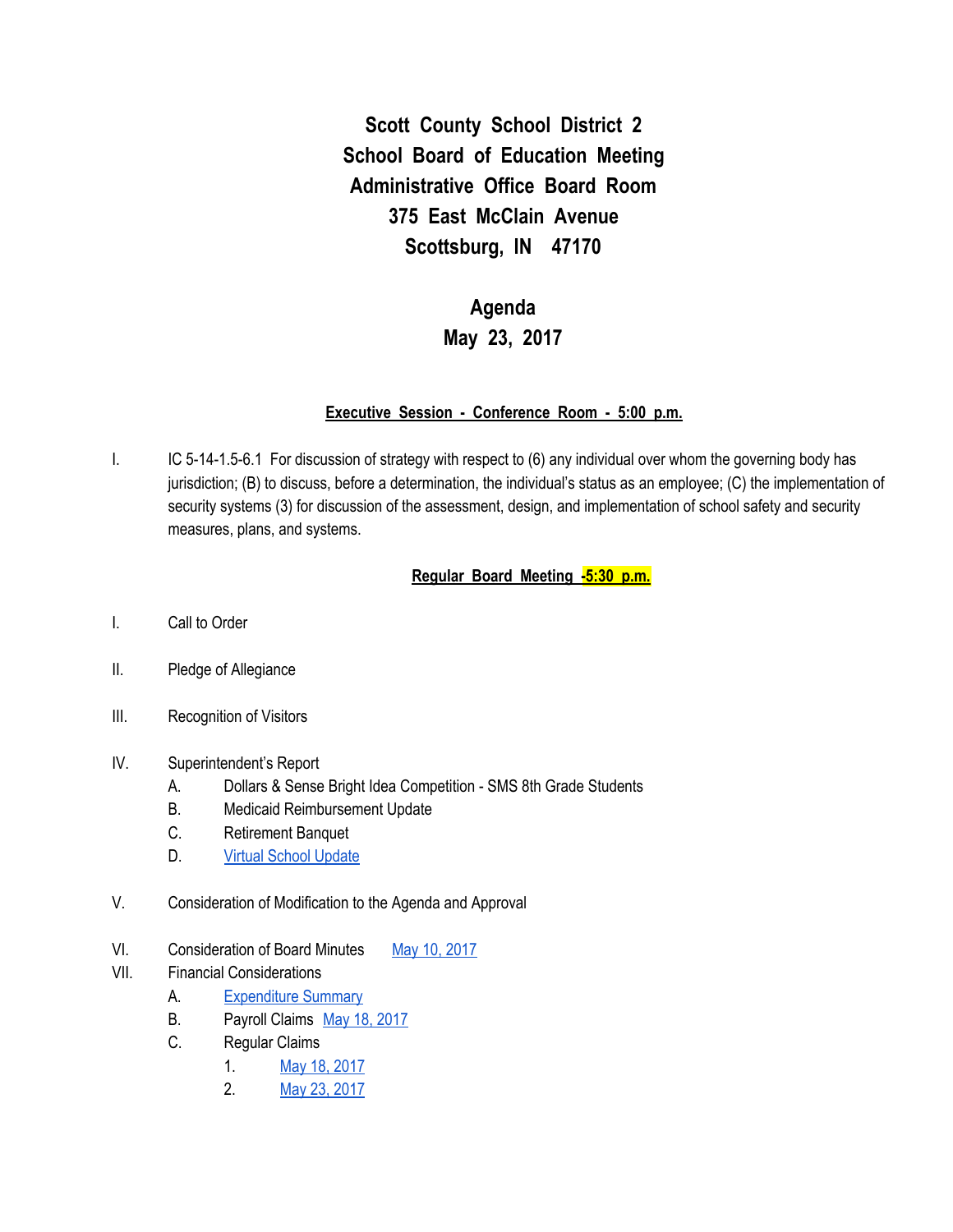**Scott County School District 2 School Board of Education Meeting Administrative Office Board Room 375 East McClain Avenue Scottsburg, IN 47170**

# **Agenda May 23, 2017**

#### **Executive Session - Conference Room - 5:00 p.m.**

I. IC 5-14-1.5-6.1 For discussion of strategy with respect to (6) any individual over whom the governing body has jurisdiction; (B) to discuss, before a determination, the individual's status as an employee; (C) the implementation of security systems (3) for discussion of the assessment, design, and implementation of school safety and security measures, plans, and systems.

## **Regular Board Meeting -5:30 p.m.**

- I. Call to Order
- II. Pledge of Allegiance
- III. Recognition of Visitors

## IV. Superintendent's Report

- A. Dollars & Sense Bright Idea Competition SMS 8th Grade Students
- B. Medicaid Reimbursement Update
- C. Retirement Banquet
- D. Virtual School [Update](https://docs.google.com/spreadsheets/d/1ONWdob7GActvXlsETDTFWRAhI2PbzGiy0b12-cCSTgM/edit#gid=0)
- V. Consideration of Modification to the Agenda and Approval
- VI. Consideration of Board Minutes May 10, [2017](https://docs.google.com/document/d/1jGpuC7FUdsnTCwDB4rvI7FR28cktUCM3LU0TbCcoyC4/edit)
- VII. Financial Considerations
	- A. [Expenditure](https://drive.google.com/file/d/0BxXvxnGh3EX1TnRyaG0tUWZWbnd4V2MxWlowREhtZnpYZVJZ/view) Summary
	- B. Payroll Claims May 18, [2017](https://drive.google.com/file/d/0BxXvxnGh3EX1cjJMQk1jU0c3NWYzV0JSeTdBTlZzWTF4VmlJ/view)
	- C. Regular Claims
		- 1. May 18, [2017](https://drive.google.com/file/d/0BxXvxnGh3EX1NWR0ZktsQlhGQ1FZd3lmd1VtUEtlRkYwbXBn/view)
		- 2. May 23, [2017](https://drive.google.com/file/d/0BxXvxnGh3EX1UDVMTzg3SzNaR0paaUFaZklKRW9kR0xINFE0/view)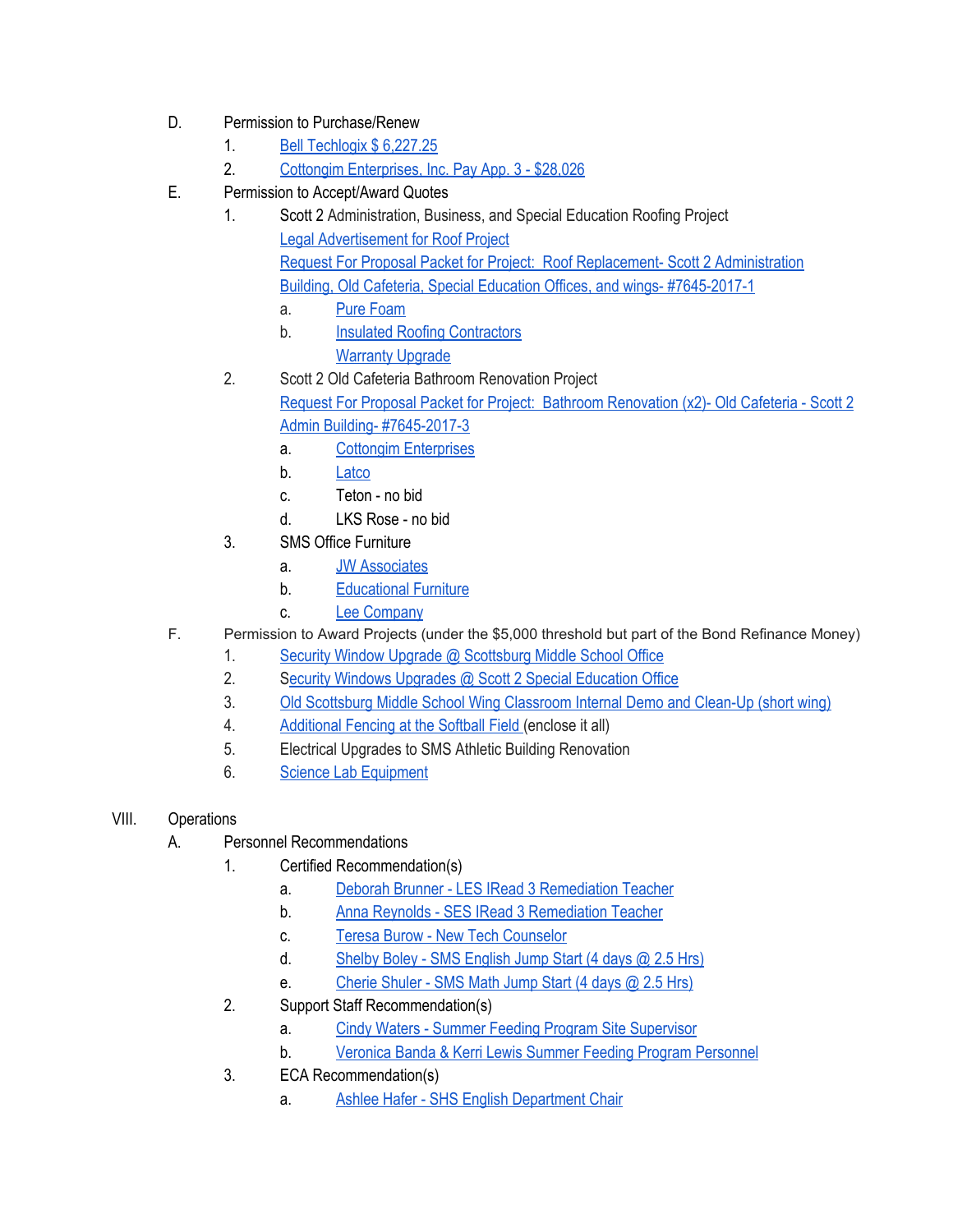- D. Permission to Purchase/Renew
	- 1. Bell [Techlogix](https://drive.google.com/file/d/0BxXvxnGh3EX1ejFrem9IQnZRdkE4Z2l3X1J5VmcwYjhucjdn/view) \$ 6,227.25
	- 2. Cottongim [Enterprises,](https://drive.google.com/file/d/0BxXvxnGh3EX1LURnWHZqeFJDSmcwOThmU3BQNGNWNFJJQzRv/view) Inc. Pay App. 3 \$28,026
- E. Permission to Accept/Award Quotes
	- 1. Scott 2 Administration, Business, and Special Education Roofing Project Legal [Advertisement](https://drive.google.com/file/d/0BxXvxnGh3EX1NDVqVFZ5dUc5b2FaNUZLMi1WaWdnUjFyVWxR/view) for Roof Project Request For Proposal Packet for Project: Roof Replacement- Scott 2 [Administration](https://drive.google.com/file/d/0BxXvxnGh3EX1bEJ6VklQVHpiaXpyRmJzVUtGX0taTThzaHpn/view) Building, Old Cafeteria, Special Education Offices, and wings- [#7645-2017-1](https://drive.google.com/file/d/0BxXvxnGh3EX1bEJ6VklQVHpiaXpyRmJzVUtGX0taTThzaHpn/view)
		- a. Pure [Foam](https://drive.google.com/file/d/0BxXvxnGh3EX1NTRYanphODJxOC1mUVExemVnMUFLQ1lkXzdZ/view)
		- b. Insulated Roofing [Contractors](https://drive.google.com/file/d/0BxXvxnGh3EX1SDJ6b2wteXBVdE1IMmlnMjJ5OWFsNGZrMnhn/view) [Warranty](https://drive.google.com/file/d/0BxXvxnGh3EX1bUs1c25Ebi1qaFhhWmZEUy1wbEdaeE5laTVn/view) Upgrade
	- 2. Scott 2 Old Cafeteria Bathroom Renovation Project Request For Proposal Packet for Project: Bathroom [Renovation](https://drive.google.com/file/d/0BxXvxnGh3EX1bzd2V2JNYmUteE9kdlJpSk9QVVM5c1BpZGFj/view) (x2)- Old Cafeteria - Scott 2 Admin Building- [#7645-2017-3](https://drive.google.com/file/d/0BxXvxnGh3EX1bzd2V2JNYmUteE9kdlJpSk9QVVM5c1BpZGFj/view)
		- a. Cottongim [Enterprises](https://drive.google.com/file/d/0BxXvxnGh3EX1RmVKNkZQS0ViV25jdFc4cTdPR1pwbElweE1j/view)
		- b. [Latco](https://drive.google.com/file/d/0BxXvxnGh3EX1VG1xNEpRUjhqazFPdzU1ajlkRlhmN2t3d1Z3/view)
		- c. Teton no bid
		- d. LKS Rose no bid
	- 3. SMS Office Furniture
		- a. JW [Associates](https://drive.google.com/file/d/0BxXvxnGh3EX1dVh3Z0xwd0xFc05QQk5lZmRCZ2c2TU9IUy00/view)
		- b. [Educational](https://drive.google.com/file/d/0BxXvxnGh3EX1Vnk5UmRTT3B6TGtfa0N4bzB1ZmM3c3gyZThN/view) Furniture
		- c. Lee [Company](https://drive.google.com/file/d/0BxXvxnGh3EX1a0ZPOFhQTjF6VlNnYi02M3l4Yk1fVEYyQjI0/view)
- F. Permission to Award Projects (under the \$5,000 threshold but part of the Bond Refinance Money)
	- 1. Security Window Upgrade @ [Scottsburg](https://drive.google.com/file/d/0BxXvxnGh3EX1Y1piaF91MWJsMVZPeHc3Mk5wVzFKeXZrV2NN/view) Middle School Office
	- 2. Security Windows Upgrades @ Scott 2 Special [Education](https://drive.google.com/file/d/0BxXvxnGh3EX1dmhNb0JqVk41czJES0FKWEZCb244dGFfSS00/view) Office
	- 3. Old [Scottsburg](https://drive.google.com/file/d/0BxXvxnGh3EX1aUpMblVjQmVYLXlicHpkWUJDLWY3bE1CcUtF/view) Middle School Wing Classroom Internal Demo and Clean-Up (short wing)
	- 4. [Additional](https://drive.google.com/file/d/0BxXvxnGh3EX1Z3ZpVUhrWWEzbDNGeG9NYXZfdFNGNk45QTdj/view) Fencing at the Softball Field (enclose it all)
	- 5. Electrical Upgrades to SMS Athletic Building Renovation
	- 6. Science Lab [Equipment](https://drive.google.com/file/d/0BxXvxnGh3EX1NUhCaDh0aVpTR1VNLV92MEtNOUpJSUdQY253/view)
- VIII. Operations
	- A. Personnel Recommendations
		- 1. Certified Recommendation(s)
			- a. Deborah Brunner LES IRead 3 [Remediation](https://drive.google.com/file/d/0BxXvxnGh3EX1c3ktdHVmcHhJR0VvdEJMQWFJMTZPV09CV2RB/view) Teacher
			- b. Anna Reynolds SES IRead 3 [Remediation](https://drive.google.com/file/d/0BxXvxnGh3EX1SlFEb2djWklxdTlSU29jQkUzbTNZUDNRZi1J/view) Teacher
			- c. Teresa Burow New Tech [Counselor](https://drive.google.com/file/d/0BxXvxnGh3EX1MjNaSndrNDlPdjUzS3pldWNjQ0Y4a1ZkdXRN/view)
			- d. Shelby Boley SMS [English](https://drive.google.com/file/d/0BxXvxnGh3EX1MTBFanVLRms3MVR4WXpBMWRwSWhaMEJva1lR/view) Jump Start (4 days @ 2.5 Hrs)
			- e. [Cherie](https://drive.google.com/file/d/0BxXvxnGh3EX1NnlGYmQwV3ZOUHYxWFh0LVI0TEcwUXV5clVn/view) Shuler SMS Math Jump Start (4 days @ 2.5 Hrs)
		- 2. Support Staff Recommendation(s)
			- a. Cindy Waters Summer Feeding Program Site [Supervisor](https://drive.google.com/file/d/0BxXvxnGh3EX1ckc4YWhmVXJVMFdORnV4ckw5NUtmcFBGNHRB/view)
			- b. Veronica Banda & Kerri Lewis Summer Feeding Program [Personnel](https://drive.google.com/file/d/0BxXvxnGh3EX1NXlxX3UzTTlPR3RkVmxoQmMyVGV0eTVEbl9j/view)
		- 3. ECA Recommendation(s)
			- a. Ashlee Hafer SHS English [Department](https://drive.google.com/file/d/0BxXvxnGh3EX1bE5pMENseVNhNXF2WDlJQ25wc3B4dndRR3pB/view) Chair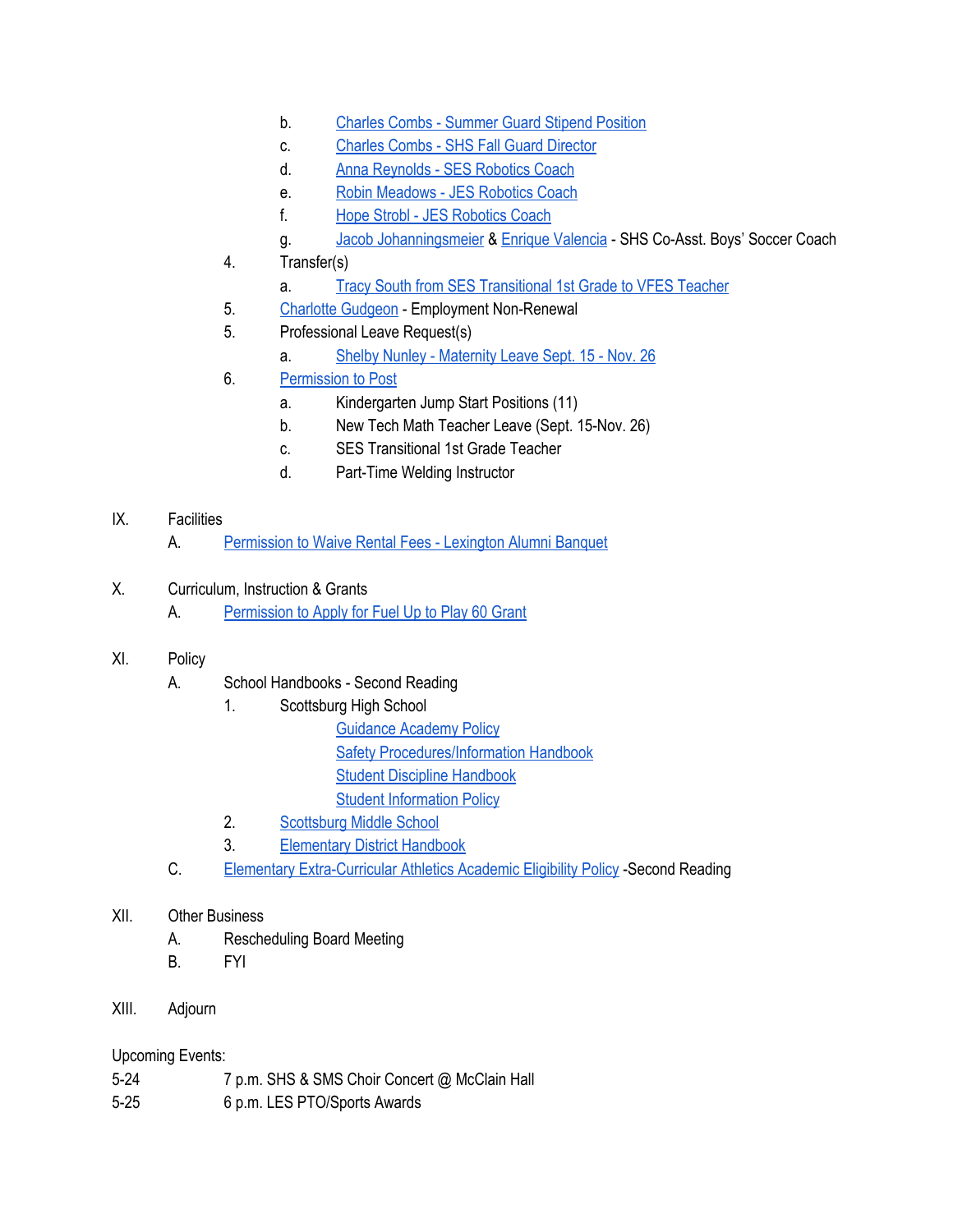- b. Charles Combs [Summer](https://drive.google.com/file/d/0BxXvxnGh3EX1ZlY0ZGVPcS1lMEJ5aGw2anpDczNabVhGNjVB/view) Guard Stipend Position
- c. Charles Combs SHS Fall Guard [Director](https://drive.google.com/file/d/0BxXvxnGh3EX1VmtDclVTV19yRUoxWkp1eTVyUUxOUVp6NkpJ/view)
- d. Anna [Reynolds](https://drive.google.com/file/d/0BxXvxnGh3EX1MTd4Q2NBOWVxa1hvTXhKbWFsc3o3Y3FBa0Nj/view) SES Robotics Coach
- e. Robin [Meadows](https://drive.google.com/file/d/0BxXvxnGh3EX1bV9kMFlRb1NweUNHazlaRFlsWk44Sk9ZdE5R/view) JES Robotics Coach
- f. Hope Strobl JES [Robotics](https://drive.google.com/file/d/0BxXvxnGh3EX1MGZ0ZGtoeXlrWG8zZXdkcDlwQ0xockJyem1V/view) Coach
- g. Jacob [Johanningsmeier](https://drive.google.com/file/d/0BxXvxnGh3EX1VG9RY0hXdXVKdGRFX2J4Y3pkczZhaHI3Z1RB/view) & Enrique [Valencia](https://drive.google.com/file/d/0BxXvxnGh3EX1WjkyMjFLa3ZXaVpwTnU5ZVluclFITWZBUXBF/view) SHS Co-Asst. Boys' Soccer Coach
- 4. Transfer(s)
	- a. Tracy South from SES [Transitional](https://drive.google.com/file/d/0BxXvxnGh3EX1ODRvMWdwM1JWeHRqS0l2OVpjWEVUVU1FeDZJ/view) 1st Grade to VFES Teacher
- 5. Charlotte [Gudgeon](https://drive.google.com/file/d/0BxXvxnGh3EX1cktneEh5RFpjQmdSc2dLM1E0VWZSRXZKM3ln/view) Employment Non-Renewal
- 5. Professional Leave Request(s)
	- a. Shelby Nunley [Maternity](https://drive.google.com/file/d/0BxXvxnGh3EX1VEdyZThIQ1ZpQkM2SVQ2WnBibndncDd3cmRV/view) Leave Sept. 15 Nov. 26
- 6. [Permission](https://docs.google.com/document/d/1RcHyeqVmPk-nGzmkKTr-ZTop_EMviQdYSR-gCRbM2RE/edit) to Post
	- a. Kindergarten Jump Start Positions (11)
	- b. New Tech Math Teacher Leave (Sept. 15-Nov. 26)
	- c. SES Transitional 1st Grade Teacher
	- d. Part-Time Welding Instructor

## IX. Facilities

- A. [Permission](https://drive.google.com/file/d/0BxXvxnGh3EX1LU8wb1o5eFBaVGo4UTJVODduVVNGeElHellv/view) to Waive Rental Fees Lexington Alumni Banquet
- X. Curriculum, Instruction & Grants
	- A. [Permission](https://drive.google.com/file/d/0BxXvxnGh3EX1MnBDcUctX2NBYWRmYmJLRTNkRi1la2xUZUNF/view) to Apply for Fuel Up to Play 60 Grant

# XI. Policy

- A. School Handbooks Second Reading
	- 1. Scottsburg High School
		- [Guidance](https://drive.google.com/file/d/0BxXvxnGh3EX1cGIwM0xkcEo3cTFnRnRIV0JsWDIwdXdDNWFZ/view) Academy Policy
		- Safety [Procedures/Information](https://drive.google.com/file/d/0BxXvxnGh3EX1a3hoSVhHakE3NWp1YzU5WW9GbUlSQ3RnZTRv/view) Handbook
		- Student Discipline [Handbook](https://drive.google.com/file/d/0BxXvxnGh3EX1Y2c5eWFxelBCZXdhTHhFZkxuWVg2Z3hMSmtr/view)
		- Student [Information](https://drive.google.com/file/d/0BxXvxnGh3EX1SVNDbk52Y08xSTRkNnNlRTAzNUlGcXJjY3BN/view) Policy
	- 2. [Scottsburg](https://docs.google.com/document/d/1wuUIT5Ktu8UYNbK9LZcIh3Uvk5aUx0ZurrHTyEHdKWg/edit) Middle School
	- 3. [Elementary](https://docs.google.com/document/d/1I7yVb4vuvWrXiB5Fcr9Oz6ASbFJ5PeoEWe6GwhcVnHE/edit) District Handbook
- C. Elementary [Extra-Curricular](https://docs.google.com/document/d/1pTeiAx82tIe2ILYkVs_eHEZNlgbgzDT6oJTbMLwgqjM/edit?ts=590c8eda) Athletics Academic Eligibility Policy -Second Reading

## XII. Other Business

- A. Rescheduling Board Meeting
- B. FYI

# XIII. Adjourn

## Upcoming Events:

- 5-24 7 p.m. SHS & SMS Choir Concert @ McClain Hall
- 5-25 6 p.m. LES PTO/Sports Awards